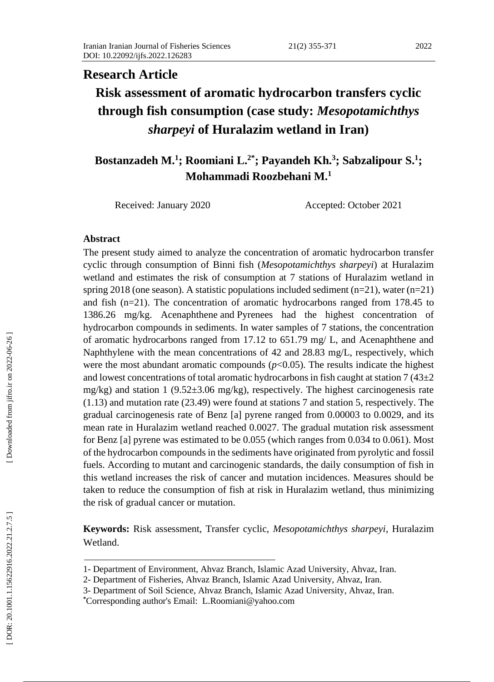# **Research Article Risk assessment of aromatic hydrocarbon transfers cyclic through fish consumption (case study:** *Mesopotamichthys sharpeyi* **of Huralazim wetland in Iran)**

## **Bostanzadeh M. 1 ; Roomiani L. 2 \* ; Payandeh Kh. 3 ; Sabzalipour S. 1 ; Mohammadi Roozbehani M. 1**

Received: January 2020 Accepted: October 2021

#### **Abstract**

The present study aimed to analyze the concentration of aromatic hydrocarbon transfer cyclic through consumption of Binni fish (*Mesopotamichthys sharpeyi*) at Huralazim wetland and estimates the risk of consumption at 7 stations of Huralazim wetland in spring 2018 (one season). A statistic populations included sediment  $(n=21)$ , water  $(n=21)$ and fish (n=21). The concentration of aromatic hydrocarbons ranged from 178.45 to 1386.26 mg/kg. Acenaphthene and Pyrenees had the highest concentration of hydrocarbon compounds in sediments. In water samples of 7 stations, the concentration of aromatic hydrocarbons ranged from 17.12 to 651.79 mg/ L, and Acenaphthene and Naphthylene with the mean concentrations of 42 and 28.83 mg/L, respectively, which were the most abundant aromatic compounds  $(p<0.05)$ . The results indicate the highest and lowest concentrations of total aromatic hydrocarbons in fish caught at station  $7(43\pm2)$ mg/kg) and station 1 (9.52±3.06 mg/kg), respectively. The highest carcinogenesis rate (1.13) and mutation rate (23.49) were found at stations 7 and station 5, respectively. The gradual carcinogenesis rate of Benz [a] pyrene ranged from 0.00003 to 0.0029, and its mean rate in Huralazim wetland reached 0.0027. The gradual mutation risk assessment for Benz [a] pyrene was estimated to be 0.055 (which ranges from 0.034 to 0.061). Most of the hydrocarbon compounds in the sediments have originated from pyrolytic and fossil fuels. According to mutant and carcinogenic standards, the daily consumption of fish in this wetland increases the risk of cancer and mutation incidences. Measures should be taken to reduce the consumption of fish at risk in Huralazim wetland, thus minimizing the risk of gradual cancer or mutation.

**Keywords:** Risk assessment, Transfer cyclic, *Mesopotamichthys sharpeyi*, Huralazim Wetland .

<sup>1</sup> - Department of Environment, Ahvaz Branch, Islamic Azad University, Ahvaz, Iran.

<sup>2</sup> - Department of Fisheries, Ahvaz Branch, Islamic Azad University, Ahvaz, Iran.

<sup>3</sup> - Department of Soil Science, Ahvaz Branch, Islamic Azad University, Ahvaz, Iran.

**<sup>\*</sup>**Corresponding author's Email: L . Roomiani@yahoo.com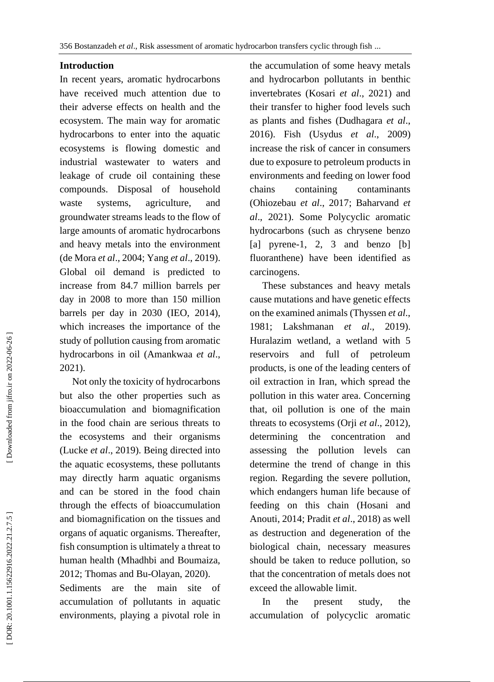#### **Introduction**

In recent years, aromatic hydrocarbons have received much attention due to their adverse effects on health and the ecosystem. The main way for aromatic hydrocarbons to enter into the aquatic ecosystems is flowing domestic and industrial wastewater to waters and leakage of crude oil containing these compounds. Disposal of household waste systems, agriculture, and groundwater streams leads to the flow of large amounts of aromatic hydrocarbons and heavy metals into the environment (de Mora *et al*., 2004; Yang *et al*., 2019). Global oil demand is predicted to increase from 84.7 million barrels per day in 2008 to more than 150 million barrels per day in 2030 (IEO, 2014), which increases the importance of the study of pollution causing from aromatic hydrocarbons in oil (Amankwaa *et al*., 2021).

 Not only the toxicity of hydrocarbons but also the other properties such as bioaccumulation and biomagnification in the food chain are serious threats to the ecosystems and their organisms (Lucke *et al*., 2019). Being directed into the aquatic ecosystems, these pollutants may directly harm aquatic organisms and can be stored in the food chain through the effects of bioaccumulation and biomagnification on the tissues and organs of aquatic organisms. Thereafter, fish consumption is ultimately a threat to human health (Mhadhbi and Boumaiza, 2012; Thomas and Bu -Olayan, 2020).

Sediments are the main site of accumulation of pollutants in aquatic environments, playing a pivotal role in

the accumulation of some heavy metals and hydrocarbon pollutants in benthic invertebrates (Kosari *et al*., 2021) and their transfer to higher food levels such as plants and fishes (Dudhagara *et al*., 2016). Fish (Usydus *et al*., 2009) increase the risk of cancer in consumers due to exposure to petroleum products in environments and feeding on lower food chains containing contaminants (Ohiozebau *et al*., 2017; Baharvand *et al*., 2021). Some Polycyclic aromatic hydrocarbons (such as chrysene benzo [a] pyrene -1, 2, 3 and benzo [b] fluoranthene) have been identified as carcinogens.

 These substances and heavy metals cause mutations and have genetic effects on the examined animals (Thyssen *et al*., 1981; Lakshmanan *et al*., 2019). Huralazim wetland, a wetland with 5 reservoirs and full of petroleum products, is one of the leading centers of oil extraction in Iran, which spread the pollution in this water area. Concerning that, oil pollution is one of the main threats to ecosystems (Orji *et al*., 2012), determining the concentration and assessing the pollution levels can determine the trend of change in this region. Regarding the severe pollution, which endangers human life because of feeding on this chain (Hosani and Anouti, 2014; Pradit *et al*., 2018) as well as destruction and degeneration of the biological chain, necessary measures should be taken to reduce pollution, so that the concentration of metals does not exceed the allowable limit.

 In the present study, the accumulation of polycyclic aromatic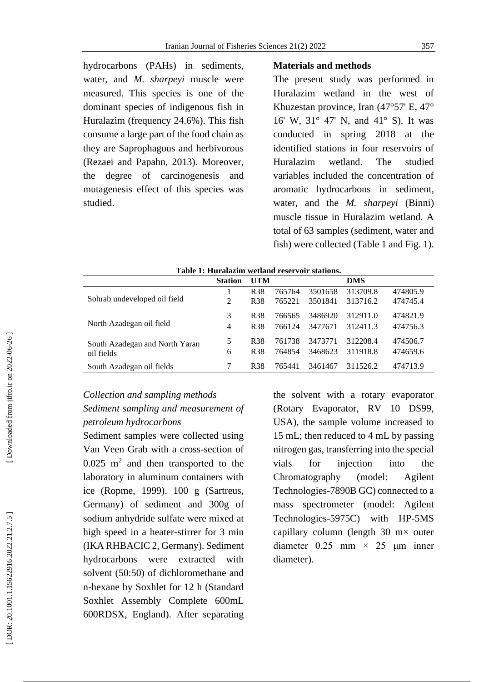hydrocarbons (PAHs) in sediments, water, and *M. sharpeyi* muscle were measured. This species is one of the dominant species of indigenous fish in Huralazim (frequency 24.6%). This fish consume a large part of the food chain as they are Saprophagous and herbivorous (Rezaei and Papahn, 2013). Moreover, the degree of carcinogenesis and mutagenesis effect of this species was studied.

#### **Materials and methods**

The present study was performed in Huralazim wetland in the west of Khuzestan province, Iran (47°57' E, 47° 16' W, 31° 47' N, and 41° S). It was conducted in spring 2018 at the identified stations in four reservoirs of Huralazim wetland. The studied variables included the concentration of aromatic hydrocarbons in sediment, water, and the *M. sharpeyi* (Binni) muscle tissue in Huralazim wetland. A total of 63 samples (sediment, water and fish) were collected (Table 1 and Fig. 1 ) .

|                                | Tame T. Huralazhir wellang reservoù stations. |                 |        |         |            |          |  |  |  |  |  |
|--------------------------------|-----------------------------------------------|-----------------|--------|---------|------------|----------|--|--|--|--|--|
|                                | <b>Station</b>                                | UTM             |        |         | <b>DMS</b> |          |  |  |  |  |  |
|                                |                                               | R <sub>38</sub> | 765764 | 3501658 | 313709.8   | 474805.9 |  |  |  |  |  |
| Sohrab undeveloped oil field   | $\mathfrak{D}$                                | R <sub>38</sub> | 765221 | 3501841 | 313716.2   | 474745.4 |  |  |  |  |  |
|                                | 3                                             | R <sub>38</sub> | 766565 | 3486920 | 312911.0   | 474821.9 |  |  |  |  |  |
| North Azadegan oil field       | 4                                             | <b>R38</b>      | 766124 | 3477671 | 312411.3   | 474756.3 |  |  |  |  |  |
| South Azadegan and North Yaran | 5                                             | <b>R38</b>      | 761738 | 3473771 | 312208.4   | 474506.7 |  |  |  |  |  |
| oil fields                     | 6                                             | R <sub>38</sub> | 764854 | 3468623 | 311918.8   | 474659.6 |  |  |  |  |  |
| South Azadegan oil fields      |                                               | <b>R38</b>      | 765441 | 3461467 | 311526.2   | 474713.9 |  |  |  |  |  |
|                                |                                               |                 |        |         |            |          |  |  |  |  |  |

**Table 1 : Huralazim wetland reservoir stations .**

## *Collection and sampling methods Sediment sampling and measurement of petroleum hydrocarbons*

Sediment samples were collected using Van Veen Grab with a cross -section of  $0.025$  m<sup>2</sup> and then transported to the laboratory in aluminum containers with ice (Ropme, 1999). 100 g (Sartreus, Germany) of sediment and 300g of sodium anhydride sulfate were mixed at high speed in a heater -stirrer for 3 min (IKA RHBACIC 2, Germany). Sediment hydrocarbons were extracted with solvent (50:50) of dichloromethane and n-hexane by Soxhlet for 12 h (Standard Soxhlet Assembly Complete 600mL 600RDSX, England). After separating

the solvent with a rotary evaporator (Rotary Evaporator, RV 10 DS99, USA), the sample volume increased to 15 mL; then reduced to 4 mL by passing nitrogen gas, transferring into the special vials for injection into the Chromatography (model: Agilent Technologies -7890B GC) connected to a mass spectrometer (model: Agilent Technologies -5975C) with HP -5MS capillary column (length  $30 \text{ m} \times$  outer diameter  $0.25$  mm  $\times$  25 µm inner diameter).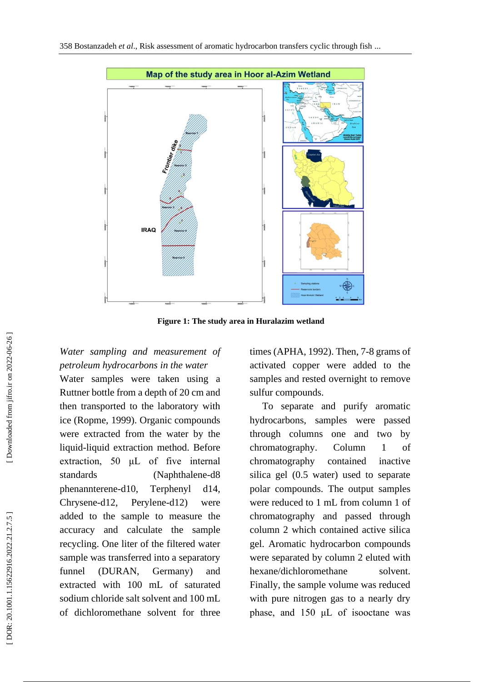

**Figure 1 : The study area in Huralazim wetland**

## *Water sampling and measurement of petroleum hydrocarbons in the water*

Water samples were taken using a Ruttner bottle from a depth of 20 cm and then transported to the laboratory with ice (Ropme, 1999). Organic compounds were extracted from the water by the liquid -liquid extraction method. Before extraction, 50 μL of five internal standards (Naphthalene -d8 phenannterene-d10, Terphenyl d14, Chrysene-d12, -d12, Perylene -d12) were added to the sample to measure the accuracy and calculate the sample recycling. One liter of the filtered water sample was transferred into a separatory funnel (DURAN, Germany) and extracted with 100 mL of saturated sodium chloride salt solvent and 100 mL of dichloromethane solvent for three

times (APHA, 1992). Then, 7 -8 grams of activated copper were added to the samples and rested overnight to remove sulfur compounds.

 To separate and purify aromatic hydrocarbons, samples were passed through columns one and two by chromatography. Column 1 of chromatography contained inactive silica gel (0.5 water) used to separate polar compounds. The output samples were reduced to 1 mL from column 1 of chromatography and passed through column 2 which contained active silica gel. Aromatic hydrocarbon compounds were separated by column 2 eluted with hexane/dichloromethane solvent. Finally, the sample volume was reduced with pure nitrogen gas to a nearly dry phase, and 150 μL of isooctane was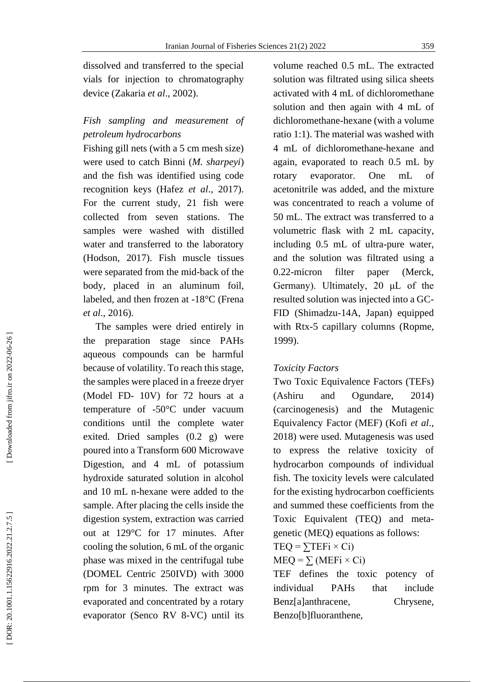## *Fish sampling and measurement of petroleum hydrocarbons*

Fishing gill nets (with a 5 cm mesh size) were used to catch Binni (*M. sharpeyi*) and the fish was identified using code recognition keys (Hafez *et al*., 2017). For the current study, 21 fish were collected from seven stations. The samples were washed with distilled water and transferred to the laboratory (Hodson, 2017). Fish muscle tissues were separated from the mid -back of the body, placed in an aluminum foil, labeled, and then frozen at  $-18^{\circ}$ C (Frena *et al*., 2016).

 The samples were dried entirely in the preparation stage since PAHs aqueous compounds can be harmful because of volatility. To reach this stage, the samples were placed in a freeze dryer (Model FD - 10V) for 72 hours at a temperature of -50°C under vacuum conditions until the complete water exited. Dried samples (0.2 g) were poured into a Transform 600 Microwave Digestion, and 4 mL of potassium hydroxide saturated solution in alcohol and 10 mL n -hexane were added to the sample. After placing the cells inside the digestion system, extraction was carried out at 129°C for 17 minutes. After cooling the solution, 6 mL of the organic phase was mixed in the centrifugal tube (DOMEL Centric 250IVD) with 3000 rpm for 3 minutes. The extract was evaporated and concentrated by a rotary evaporator (Senco RV 8 -VC) until its volume reached 0.5 mL. The extracted solution was filtrated using silica sheets activated with 4 mL of dichloromethane solution and then again with 4 mL of dichloromethane -hexane (with a volume ratio 1:1). The material was washed with 4 mL of dichloromethane -hexane and again, evaporated to reach 0.5 mL by rotary evaporator. One mL of acetonitrile was added, and the mixture was concentrated to reach a volume of 50 mL. The extract was transferred to a volumetric flask with 2 mL capacity, including 0.5 mL of ultra -pure water, and the solution was filtrated using a 0.22 filter paper (Merck, Germany). Ultimately, 20 μL of the resulted solution was injected into a GC - FID (Shimadzu -14A, Japan) equipped with Rtx -5 capillary columns (Ropme, 1999).

### *Toxicity Factors*

Two Toxic Equivalence Factors (TEFs) (Ashiru and Ogundare, 2014) (carcinogenesis) and the Mutagenic Equivalency Factor (MEF) (Kofi *et al*., 2018) were used. Mutagenesis was used to express the relative toxicity of hydrocarbon compounds of individual fish. The toxicity levels were calculated for the existing hydrocarbon coefficients and summed these coefficients from the Toxic Equivalent (TEQ) and meta genetic (MEQ) equations as follows:

### $TEQ = \sum TEFi \times Ci$

## $MEQ = \sum (MEFi \times Ci)$

TEF defines the toxic potency of individual PAHs that include Benz[a]anthracene, Chrysene, Benzo[b]fluoranthene,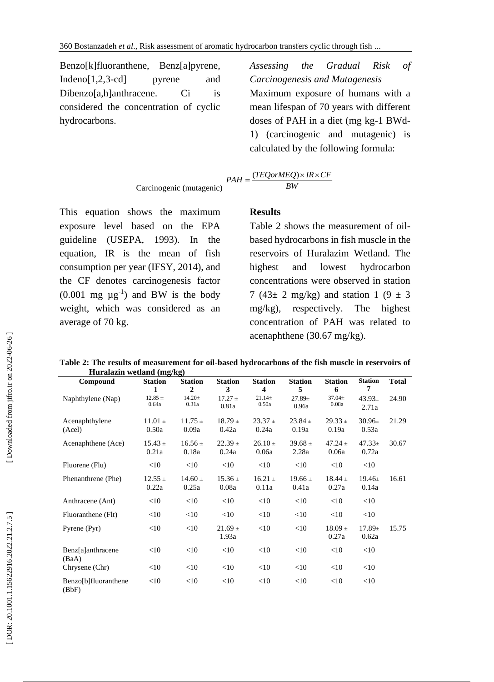Benzo[k]fluoranthene, Benz[a]pyrene, Indeno $[1,2,3$ -cd] pyrene and Dibenzo[a,h]anthracene. Ci is considered the concentration of cyclic hydrocarbons.

*Assessing the Gradual Risk of Carcinogenesis and Mutagenesi s* Maximum exposure of humans with a mean lifespan of 70 years with different doses of PAH in a diet (mg kg -1 BWd - 1) (carcinogenic and mutagenic) is calculated by the following formula:

$$
PAH = \frac{(TEQorMEQ) \times IR \times CF}{BW}
$$

This equation shows the maximum exposure level based on the EPA guideline (USEPA, 1993). In the equation, IR is the mean of fish consumption per year (IFSY, 2014), and the CF denotes carcinogenesis factor  $(0.001 \text{ mg } \mu \text{g}^{-1})$  and BW is the body weight, which was considered as an average of 70 kg.

#### **Results**

Table 2 shows the measurement of oil based hydrocarbons in fish muscle in the reservoirs of Huralazim Wetland. The highest and lowest hydrocarbon concentrations were observed in station 7 (43 $\pm$  2 mg/kg) and station 1 (9  $\pm$  3 mg/kg), respectively. The highest concentration of PAH was related to acenaphthene (30.67 mg/kg).

**Table 2 : The results of measurement for oil -based hydrocarbons of the fish muscle in reservoirs of Huralazin wetland (mg/kg )**

| ппийши «сийни (шклу           |                |                |                |                         |                |                |                |              |  |  |  |
|-------------------------------|----------------|----------------|----------------|-------------------------|----------------|----------------|----------------|--------------|--|--|--|
| Compound                      | <b>Station</b> | <b>Station</b> | <b>Station</b> | <b>Station</b>          | <b>Station</b> | <b>Station</b> | <b>Station</b> | <b>Total</b> |  |  |  |
|                               | $\mathbf{1}$   | $\overline{2}$ | 3              | $\overline{\mathbf{4}}$ | 5              | 6              | 7              |              |  |  |  |
| Naphthylene (Nap)             | $12.85 \pm$    | $14.20 \pm$    | $17.27 \pm$    | $21.14 \pm$             | $27.89 \pm$    | $37.04 \pm$    | $43.93\pm$     | 24.90        |  |  |  |
|                               | 0.64a          | 0.31a          | 0.81a          | 0.50a                   | 0.96a          | 0.08a          | 2.71a          |              |  |  |  |
| Acenaphthylene                | $11.01 \pm$    | $11.75 \pm$    | $18.79 \pm$    | $23.37 \pm$             | $23.84 \pm$    | $29.33 \pm$    | $30.96\pm$     | 21.29        |  |  |  |
| (Acel)                        | 0.50a          | 0.09a          | 0.42a          | 0.24a                   | 0.19a          | 0.19a          | 0.53a          |              |  |  |  |
| Acenaphthene (Ace)            | $15.43 \pm$    | $16.56 \pm$    | $22.39 +$      | $26.10 \pm$             | $39.68 \pm$    | $47.24 \pm$    | $47.33 \pm$    | 30.67        |  |  |  |
|                               | 0.21a          | 0.18a          | 0.24a          | 0.06a                   | 2.28a          | 0.06a          | 0.72a          |              |  |  |  |
| Fluorene (Flu)                | <10            | $<$ 10         | $<$ 10         | $<$ 10                  | <10            | $<$ 10         | $<$ 10         |              |  |  |  |
| Phenanthrene (Phe)            | $12.55 \pm$    | $14.60 \pm$    | $15.36 \pm$    | $16.21 \pm$             | $19.66 \pm$    | $18.44 \pm$    | $19.46 \pm$    | 16.61        |  |  |  |
|                               | 0.22a          | 0.25a          | 0.08a          | 0.11a                   | 0.41a          | 0.27a          | 0.14a          |              |  |  |  |
| Anthracene (Ant)              | $<$ 10         | $<$ 10         | <10            | <10                     | <10            | $<$ 10         | $<$ 10         |              |  |  |  |
| Fluoranthene (Flt)            | $<$ 10         | $<$ 10         | $<$ 10         | <10                     | <10            | $<$ 10         | $<$ 10         |              |  |  |  |
| Pyrene (Pyr)                  | $<$ 10         | $<$ 10         | $21.69 \pm$    | <10                     | <10            | $18.09 +$      | $17.89 \pm$    | 15.75        |  |  |  |
|                               |                |                | 1.93a          |                         |                | 0.27a          | 0.62a          |              |  |  |  |
| Benz[a]anthracene             | <10            | $<$ 10         | $<$ 10         | $<$ 10                  | <10            | $<$ 10         | $<$ 10         |              |  |  |  |
| (BaA)                         |                |                |                |                         |                |                |                |              |  |  |  |
| Chrysene (Chr)                | $<$ 10         | $<$ 10         | $<$ 10         | <10                     | <10            | $<$ 10         | $<$ 10         |              |  |  |  |
| Benzo[b]fluoranthene<br>(BbF) | $<$ 10         | $<$ 10         | $<$ 10         | $<$ 10                  | <10            | $<$ 10         | $<$ 10         |              |  |  |  |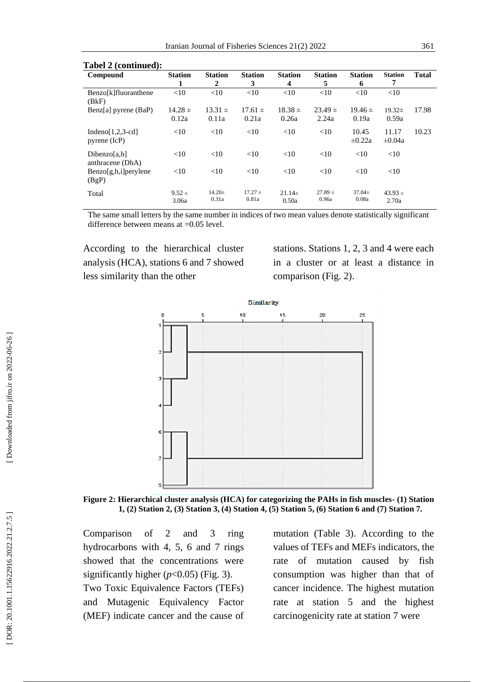| $1$ avel $2$ (continued).            |                     |                      |                      |                      |                      |                      |                      |              |  |  |
|--------------------------------------|---------------------|----------------------|----------------------|----------------------|----------------------|----------------------|----------------------|--------------|--|--|
| Compound                             | <b>Station</b>      | <b>Station</b>       | <b>Station</b>       | <b>Station</b>       | <b>Station</b>       | <b>Station</b>       | <b>Station</b>       | <b>Total</b> |  |  |
|                                      | 1                   | $\overline{2}$       | 3                    | 4                    | 5                    | 6                    | 7                    |              |  |  |
| Benzo[k]fluoranthene<br>(BkF)        | <10                 | <10                  | <10                  | <10                  | <10                  | <10                  | <10                  |              |  |  |
| Benz[a] pyrene (BaP)                 | $14.28 \pm$         | $13.31 \pm$          | $17.61 \pm$          | $18.38 \pm$          | $23.49 \pm$          | $19.46 \pm$          | $19.32 \pm$          | 17.98        |  |  |
|                                      | 0.12a               | 0.11a                | 0.21a                | 0.26a                | 2.24a                | 0.19a                | 0.59a                |              |  |  |
| Indeno[ $1,2,3$ -cd]<br>pyrene (IcP) | <10                 | <10                  | <10                  | <10                  | <10                  | 10.45<br>$\pm 0.22a$ | 11.17<br>$\pm 0.04a$ | 10.23        |  |  |
| Dibenzo[a,h]<br>anthracene (DhA)     | <10                 | <10                  | <10                  | <10                  | <10                  | <10                  | <10                  |              |  |  |
| $Benzo[g,h,i]$ per ylene<br>(BgP)    | <10                 | <10                  | <10                  | <10                  | <10                  | <10                  | <10                  |              |  |  |
| Total                                | $9.52 \pm$<br>3.06a | $14.20 \pm$<br>0.31a | $17.27 \pm$<br>0.81a | $21.14 \pm$<br>0.50a | $27.89 \pm$<br>0.96a | $37.04 \pm$<br>0.08a | $43.93 \pm$<br>2.70a |              |  |  |

#### **Tabel 2 (continued):**

The same small letters by the same number in indices of two mean values denote statistically significant difference between means at =0.05 level .

According to the hierarchical cluster analysis (HCA), stations 6 and 7 showed less similarity than the other

stations. Stations 1, 2, 3 and 4 were each in a cluster or at least a distance in comparison (Fig. 2).



**Figure 2 : Hierarchical cluster analysis (HCA) for categorizing the PAHs in fish muscles - (1) Station 1, (2) Station 2, (3) Station 3, (4) Station 4, (5) Station 5, (6) Station 6 and (7) Station 7.**

Comparison of 2 and 3 ring hydrocarbons with 4, 5, 6 and 7 rings showed that the concentrations were significantly higher  $(p<0.05)$  (Fig. 3). Two Toxic Equivalence Factors (TEFs) and Mutagenic Equivalency Factor (MEF) indicate cancer and the cause of mutation (Table 3). According to the values of TEFs and MEFs indicators, the rate of mutation caused by fish consumption was higher than that of cancer incidence. The highest mutation rate at station 5 and the highest carcinogenicity rate at station 7 were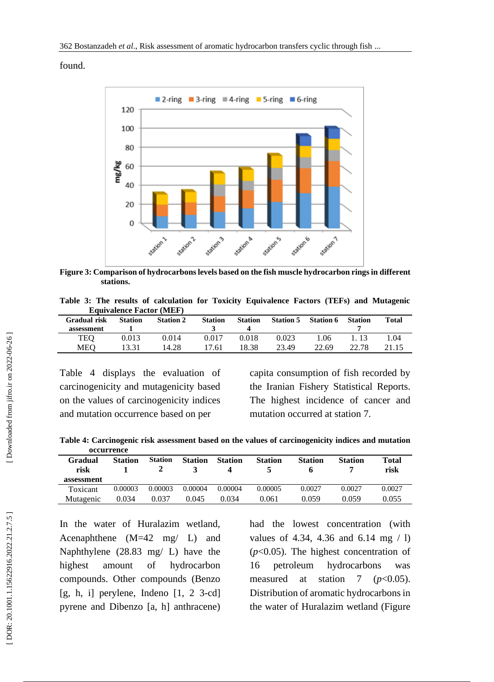found.



**Figure 3 : Comparison of hydrocarbons levels based on the fish muscle hydrocarbon rings in different stations .**

|  |  |                                 |  | Table 3: The results of calculation for Toxicity Equivalence Factors (TEFs) and Mutagenic |  |  |
|--|--|---------------------------------|--|-------------------------------------------------------------------------------------------|--|--|
|  |  | <b>Equivalence Factor (MEF)</b> |  |                                                                                           |  |  |

| Gradual risk<br>assessment | <b>Station</b> | <b>Station 2</b> | <b>Station</b> | <b>Station</b> | <b>Station 5</b> | <b>Station 6</b> | <b>Station</b> | Total |
|----------------------------|----------------|------------------|----------------|----------------|------------------|------------------|----------------|-------|
| TEO                        | 0.013          | 0.014            | 0.017          | 0.018          | 0.023            | 1.06             | 1 13           | 1.04  |
| MEO                        | 13.31          | 14.28            | 17.61          | 18.38          | 23.49            | 22.69            | 22.78          | 21.15 |

Table 4 displays the evaluation of carcinogenicity and mutagenicity based on the values of carcinogenicity indices and mutation occurrence based on per

capita consumption of fish recorded by the Iranian Fishery Statistical Reports. The highest incidence of cancer and mutation occurred at station 7.

**Table 4: Carcinogenic risk assessment based on the values of carcinogenicity indices and mutation occurrence** 

| Gradual<br>risk | <b>Station</b> | <b>Station</b> | <b>Station</b> | <b>Station</b> | <b>Station</b> | <b>Station</b> | <b>Station</b> | Total<br>risk |
|-----------------|----------------|----------------|----------------|----------------|----------------|----------------|----------------|---------------|
| assessment      |                |                |                |                |                |                |                |               |
| Toxicant        | 0.00003        | 0.00003        | 0.00004        | 0.00004        | 0.00005        | 0.0027         | 0.0027         | 0.0027        |
| Mutagenic       | 0.034          | 0.037          | 0.045          | 0.034          | 0.061          | 0.059          | 0.059          | 0.055         |

In the water of Huralazim wetland, Acenaphthene (M=42 mg/ L) and Naphthylene (28.83 mg/ L) have the highest amount of hydrocarbon compounds. Other compounds (Benzo  $[g, h, i]$  perylene, Indeno  $[1, 2, 3-cd]$ pyrene and Dibenzo [a, h] anthracene)

had the lowest concentration (with values of 4.34, 4.36 and 6.14 mg  $/ 1$ ) ( $p < 0.05$ ). The highest concentration of 16 petroleum hydrocarbons was measured at station 7 ( $p$ <0.05). Distribution of aromatic hydrocarbons in the water of Huralazim wetland (Figure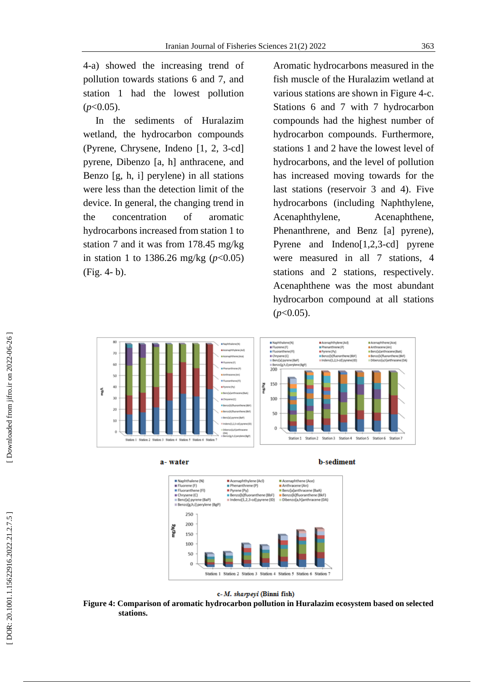4 -a) showed the increasing trend of pollution towards stations 6 and 7, and station 1 had the lowest pollution  $(p<0.05)$ .

 In the sediments of Huralazim wetland, the hydrocarbon compounds (Pyrene, Chrysene, Indeno [1, 2, 3 -cd] pyrene, Dibenzo [a, h] anthracene, and Benzo [g, h, i] perylene) in all stations were less than the detection limit of the device. In general, the changing trend in the concentration of aromatic hydrocarbons increased from station 1 to station 7 and it was from 178.45 mg/kg in station 1 to 1386.26 mg/kg  $(p<0.05)$ (Fig. 4- b).

Aromatic hydrocarbons measured in the fish muscle of the Huralazim wetland at various stations are shown in Figure 4 -c. Stations 6 and 7 with 7 hydrocarbon compounds had the highest number of hydrocarbon compounds. Furthermore, stations 1 and 2 have the lowest level of hydrocarbons, and the level of pollution has increased moving towards for the last stations (reservoir 3 and 4). Five hydrocarbons (including Naphthylene, Acenaphthylene, Acenaphthene, Phenanthrene, and Benz [a] pyrene), Pyrene and Indeno[1,2,3 -cd] pyrene were measured in all 7 stations, 4 stations and 2 stations, respectively. Acenaphthene was the most abundant hydrocarbon compound at all stations (*p*<0.05).



a-water

**b-sediment** 



c-M. sharpeyi (Binni fish)

**Figure 4 : Comparison of aromatic hydrocarbon pollution in Huralazim ecosystem based on selected stations .**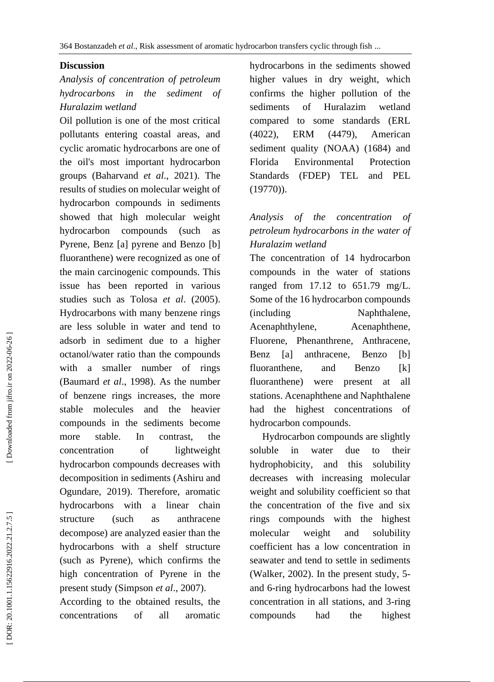#### **Discussion**

## *Analysis of concentration of petroleum hydrocarbons in the sediment of Huralazim wetland*

Oil pollution is one of the most critical pollutants entering coastal areas, and cyclic aromatic hydrocarbons are one of the oil's most important hydrocarbon groups (Baharvand *et al*., 2021). The results of studies on molecular weight of hydrocarbon compounds in sediments showed that high molecular weight hydrocarbon compounds (such as Pyrene, Benz [a] pyrene and Benzo [b] fluoranthene) were recognized as one of the main carcinogenic compounds. This issue has been reported in various studies such as Tolosa *et al*. (2005). Hydrocarbons with many benzene rings are less soluble in water and tend to adsorb in sediment due to a higher octanol/water ratio than the compounds with a smaller number of rings (Baumard *et al*., 1998). As the number of benzene rings increases, the more stable molecules and the heavier compounds in the sediments become more stable. In contrast, the concentration of lightweight hydrocarbon compounds decreases with decomposition in sediments (Ashiru and Ogundare, 2019). Therefore, aromatic hydrocarbons with a linear chain structure (such as anthracene decompose) are analyzed easier than the hydrocarbons with a shelf structure (such as Pyrene), which confirms the high concentration of Pyrene in the present study (Simpson *et al*., 2007).

According to the obtained results, the concentrations of all aromatic hydrocarbons in the sediments showed higher values in dry weight, which confirms the higher pollution of the sediments of Huralazim wetland compared to some standards (ERL (4022), ERM (4479), American sediment quality (NOAA) (1684) and Florida Environmental Protection Standards (FDEP) TEL and PEL (19770)).

## *Analysis of the concentration of petroleum hydrocarbons in the water of Huralazim wetland*

The concentration of 14 hydrocarbon compounds in the water of stations ranged from 17.12 to 651.79 mg/ L. Some of the 16 hydrocarbon compounds (including Naphthalene, Acenaphthylene, Acenaphthene, Fluorene, Phenanthrene, Anthracene, Benz [a] anthracene, Benzo [b] fluoranthene, and Benzo [k] fluoranthene) were present at all stations. Acenaphthene and Naphthalene had the highest concentrations of hydrocarbon compounds.

 Hydrocarbon compounds are slightly soluble in water due to their hydrophobicity, and this solubility decreases with increasing molecular weight and solubility coefficient so that the concentration of the five and six rings compounds with the highest molecular weight and solubility coefficient has a low concentration in seawater and tend to settle in sediments (Walker, 2002). In the present study, 5 and 6 -ring hydrocarbons had the lowest concentration in all stations, and 3 -ring compounds had the highest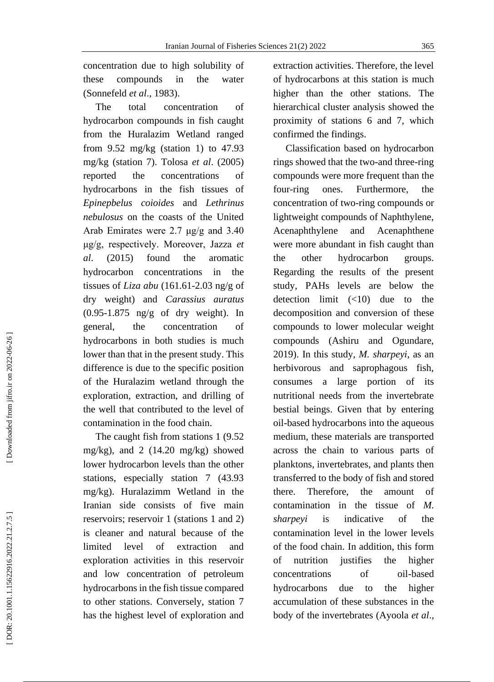concentration due to high solubility of these compounds in the water (Sonnefeld *et al*., 1983).

 The total concentration of hydrocarbon compounds in fish caught from the Huralazim Wetland ranged from  $9.52 \text{ mg/kg}$  (station 1) to  $47.93$ mg/kg (station 7). Tolosa *et al*. (2005) reported the concentrations of hydrocarbons in the fish tissues of *Epinepbelus coioides* and *Lethrinus nebulosus* on the coasts of the United Arab Emirates were 2.7  $\mu$ g/g and 3.40 μg/g, respectively. Moreover, Jazza *et al*. (2015) found the aromatic hydrocarbon concentrations in the tissues of *Liza abu* (161.61 -2.03 ng/g of dry weight) and *Carassius auratus* (0.95 -1.875 ng/g of dry weight). In general, the concentration of hydrocarbons in both studies is much lower than that in the present study. This difference is due to the specific position of the Huralazim wetland through the exploration, extraction, and drilling of the well that contributed to the level of contamination in the food chain.

 The caught fish from stations 1 (9.52 mg/kg), and 2 (14.20 mg/kg) showed lower hydrocarbon levels than the other stations, especially station 7 (43.93 mg/kg). Huralazimm Wetland in the Iranian side consists of five main reservoirs; reservoir 1 (stations 1 and 2) is cleaner and natural because of the limited level of extraction and exploration activities in this reservoir and low concentration of petroleum hydrocarbons in the fish tissue compared to other stations. Conversely, station 7 has the highest level of exploration and extraction activities. Therefore, the level of hydrocarbons at this station is much higher than the other stations. The hierarchical cluster analysis showed the proximity of stations 6 and 7, which confirmed the findings.

 Classification based on hydrocarbon rings showed that the two -and three -ring compounds were more frequent than the four ones. Furthermore, the concentration of two -ring compounds or lightweight compounds of Naphthylene, Acenaphthylene and Acenaphthene were more abundant in fish caught than the other hydrocarbon groups. Regarding the results of the present study, PAHs levels are below the detection limit  $(\leq 10)$  due to the decomposition and conversion of these compounds to lower molecular weight compounds (Ashiru and Ogundare, 2019). In this study, *M. sharpeyi*, as an herbivorous and saprophagous fish, consumes a large portion of its nutritional needs from the invertebrate bestial beings. Given that by entering oil -based hydrocarbons into the aqueous medium, these materials are transported across the chain to various parts of planktons, invertebrates, and plants then transferred to the body of fish and stored there. Therefore, the amount of contamination in the tissue of *M. sharpeyi* is indicative of the contamination level in the lower levels of the food chain. In addition, this form of nutrition justifies the higher concentrations of oil-based hydrocarbons due to the higher accumulation of these substances in the body of the invertebrates (Ayoola *et al*.,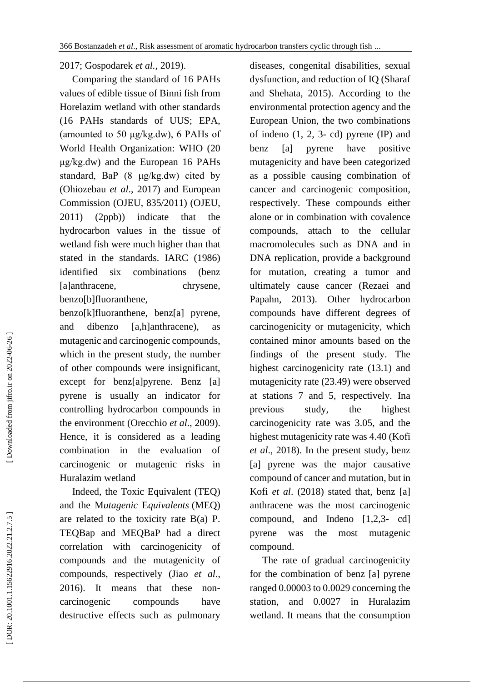2017; Gospodarek *et al.,* 2019).

 Comparing the standard of 16 PAHs values of edible tissue of Binni fish from Horelazim wetland with other standards (16 PAHs standards of UUS; EPA, (amounted to 50 μg/kg.dw), 6 PAHs of World Health Organization: WHO (20 μg/kg.dw) and the European 16 PAHs standard, BaP (8 μg/kg.dw) cited by (Ohiozebau *et al*., 2017) and European Commission (OJEU, 835/2011) (OJEU, 2011 ) (2ppb)) indicate that the hydrocarbon values in the tissue of wetland fish were much higher than that stated in the standards. IARC (1986) identified six combinations (benz [a]anthracene, chrysene, benzo[b]fluoranthene,

benzo[k]fluoranthene, benz[a] pyrene, and dibenzo [a,h]anthracene), as mutagenic and carcinogenic compounds, which in the present study, the number of other compounds were insignificant, except for benz[a]pyrene. Benz [a] pyrene is usually an indicator for controlling hydrocarbon compounds in the environment (Orecchio *et al*., 2009). Hence, it is considered as a leading combination in the evaluation of carcinogenic or mutagenic risks in Huralazim wetland

 Indeed, the Toxic Equivalent (TEQ) and the M*utagenic*  E*quivalents* (MEQ) are related to the toxicity rate B(a) P. TEQBap and MEQBaP had a direct correlation with carcinogenicity of compounds and the mutagenicity of compounds, respectively (Jiao *et al*., 2016). It means that these non carcinogenic compounds have destructive effects such as pulmonary

diseases, congenital disabilities, sexual dysfunction, and reduction of IQ (Sharaf and Shehata, 2015). According to the environmental protection agency and the European Union, the two combinations of indeno  $(1, 2, 3- cd)$  pyrene  $(IP)$  and benz [a] pyrene have positive mutagenicity and have been categorized as a possible causing combination of cancer and carcinogenic composition, respectively. These compounds either alone or in combination with covalence compounds, attach to the cellular macromolecules such as DNA and in DNA replication, provide a background for mutation, creating a tumor and ultimately cause cancer (Rezaei and Papahn, 2013). Other hydrocarbon compounds have different degrees of carcinogenicity or mutagenicity, which contained minor amounts based on the findings of the present study. The highest carcinogenicity rate (13.1) and mutagenicity rate (23.49) were observed at stations 7 and 5, respectively. Ina previous study, the highest carcinogenicity rate was 3.05, and the highest mutagenicity rate was 4.40 (Kofi *et al* . , 2018). In the present study, benz [a] pyrene was the major causative compound of cancer and mutation, but in Kofi *et al*. (2018) stated that, benz [a] anthracene was the most carcinogenic compound, and Indeno [1,2,3 - cd] pyrene was the most mutagenic compound.

 The rate of gradual carcinogenicity for the combination of benz [a] pyrene ranged 0.00003 to 0.0029 concerning the station, and 0.0027 in Huralazim wetland. It means that the consumption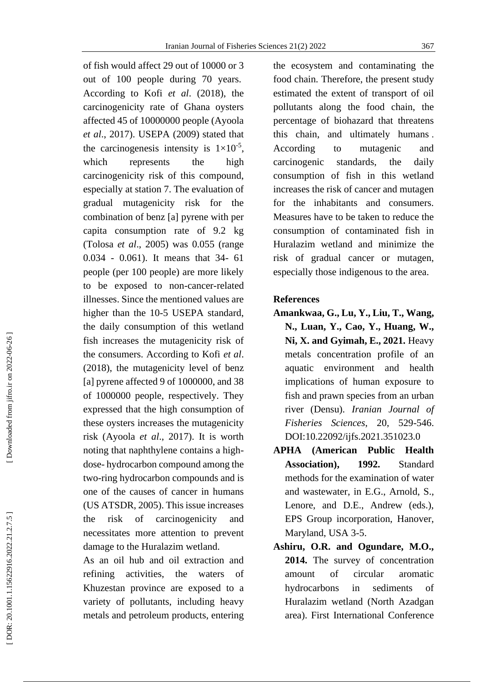of fish would affect 29 out of 10000 or 3 out of 100 people during 70 years. According to Kofi *et al*. (2018), the carcinogenicity rate of Ghana oysters affected 45 of 10000000 people (Ayoola *et al*., 2017). USEPA (2009) stated that the carcinogenesis intensity is  $1 \times 10^{-5}$ , which represents the high carcinogenicity risk of this compound, especially at station 7. The evaluation of gradual mutagenicity risk for the combination of benz [a] pyrene with per capita consumption rate of 9.2 kg (Tolosa *et al*., 2005) was 0.055 (range 0.034 - 0.061). It means that 34 - 61 people (per 100 people) are more likely to be exposed to non -cancer -related illnesses. Since the mentioned values are higher than the 10 -5 USEPA standard, the daily consumption of this wetland fish increases the mutagenicity risk of the consumers. According to Kofi *et al*. (2018), the mutagenicity level of benz [a] pyrene affected 9 of 1000000, and 38 of 1000000 people, respectively. They expressed that the high consumption of these oysters increases the mutagenicity risk (Ayoola *et al*., 2017). It is worth noting that naphthylene contains a high dose - hydrocarbon compound among the two -ring hydrocarbon compounds and is one of the causes of cancer in humans (US ATSDR, 2005). This issue increases the risk of carcinogenicity and necessitates more attention to prevent damage to the Huralazim wetland.

As an oil hub and oil extraction and refining activities, the waters of Khuzestan province are exposed to a variety of pollutants, including heavy metals and petroleum products, entering the ecosystem and contaminating the food chain. Therefore, the present study estimated the extent of transport of oil pollutants along the food chain, the percentage of biohazard that threatens this chain, and ultimately humans . According to mutagenic and carcinogenic standards, the daily consumption of fish in this wetland increases the risk of cancer and mutagen for the inhabitants and consumers. Measures have to be taken to reduce the consumption of contaminated fish in Huralazim wetland and minimize the risk of gradual cancer or mutagen, especially those indigenous to the area.

#### **References**

- **Amankwaa, G., Lu, Y., Liu, T., Wang, N., Luan, Y., Cao, Y., Huang, W., Ni, X. and Gyimah, E., 2021.** Heavy metals concentration profile of an aquatic environment and health implications of human exposure to fish and prawn species from an urban river (Densu). *Iranian Journal of Fisheries Sciences*, 20, 529 -546. [DOI:10.22092/ijfs.2021.351023.0](https://dx.doi.org/10.22092/ijfs.2021.351023.0)
- **APHA (American Public Health Association), 1992.** Standard methods for the examination of water and wastewater, in E.G., Arnold, S., Lenore, and D.E., Andrew (eds.), EPS Group incorporation, Hanover, Maryland, USA 3 -5.
- **Ashiru, O.R. and Ogundare, M.O., 2014.** The survey of concentration amount of circular aromatic hydrocarbons in sediments of Huralazim wetland (North Azadgan area). First International Conference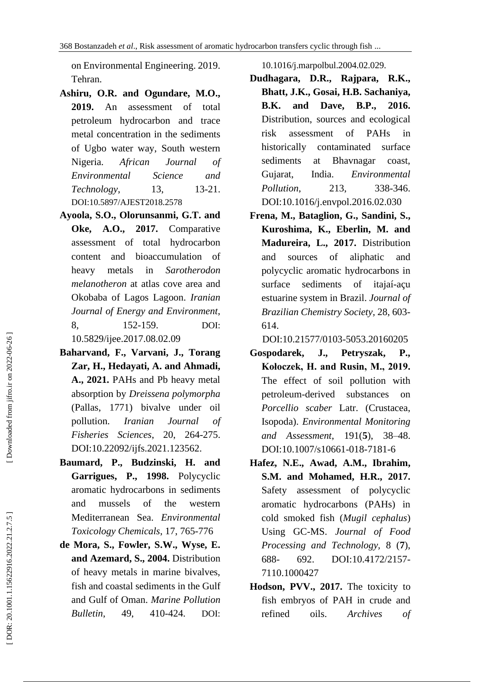on Environmental Engineering. 2019. Tehran.

- **Ashiru, O.R. and Ogundare, M.O., 2019.** An assessment of total petroleum hydrocarbon and trace metal concentration in the sediments of Ugbo water way, South western Nigeria. *African Journal of Environmental Science and Technology*, 13, 13-21. DOI[:10.5897/AJEST2018.2578](http://dx.doi.org/10.5897/AJEST2018.2578)
- **Ayoola, S.O., Olorunsanmi, G.T. and Oke, A.O., 2017.** Comparative assessment of total hydrocarbon content and bioaccumulation of heavy metals in *Sarotherodon melanotheron* at atlas cove area and Okobaba of Lagos Lagoon. *Iranian Journal of Energy and Environment*, 8, 152 -159. DOI: 10.5829/ijee.2017.08.02.09
- **Baharvand, F., Varvani, J., Torang Zar, H., Hedayati, A. and Ahmadi, A., 2021.** PAHs and Pb heavy metal absorption by *Dreissena polymorpha* (Pallas, 1771) bivalve under oil pollution. *Iranian Journal of Fisheries Sciences*, 20, 264 -275. DOI[:10.22092/ijfs.2021.123562](https://dx.doi.org/10.22092/ijfs.2021.123562) .
- **Baumard, P., Budzinski, H. and Garrigues, P., 1998.** Polycyclic aromatic hydrocarbons in sediments and mussels of the western Mediterranean Sea. *Environmental Toxicology Chemicals*, 17, 765 -776
- **de Mora, S., Fowler, S.W., Wyse, E. and Azemard, S., 2004.** Distribution of heavy metals in marine bivalves, fish and coastal sediments in the Gulf and Gulf of Oman. *Marine Pollution Bulletin*, 49. -424. DOI:

10.1016/j.marpolbul.2004.02.029.

- **Dudhagara, D.R., Rajpara, R.K., Bhatt, J.K., Gosai, H.B. Sachaniya, B.K. and Dave, B.P., 2016.** Distribution, sources and ecological risk assessment of PAHs in historically contaminated surface sediments at Bhavnagar coast, Gujarat, India. *Environmental Pollution.* 213. 338-346. [DOI:10.1016/j.envpol.2016.02.030](https://doi.org/10.1016/j.envpol.2016.02.030)
- **Frena, M., Bataglion, G., Sandini, S., Kuroshima, K., Eberlin, M. and Madureira, L., 2017.** Distribution and sources of aliphatic and polycyclic aromatic hydrocarbons in surface sediments of itajaí-açu estuarine system in Brazil. *Journal of Brazilian Chemistry Society,* 28, 603 - 614.

[DOI:10.21577/0103](https://doi.org/10.21577/0103-5053.20160205) -5053.20160205

- **Gospodarek, J., Petryszak, P., Kołoczek, H. and Rusin, M., 2019.** The effect of soil pollution with petroleum -derived substances on *Porcellio scaber* Latr. (Crustacea, Isopoda). *Environmental Monitoring and Assessment*, 191( **5**), 38 –48. DOI:10.1007/s10661 -018 -7181 -6
- **Hafez, N.E., Awad, A.M., Ibrahim, S.M. and Mohamed, H.R., 2017.** Safety assessment of polycyclic aromatic hydrocarbons (PAHs) in cold smoked fish (*Mugil cephalus*) Using GC -MS. *[Journal of Food](https://www.google.com/url?q=https://www.omicsonline.org/food-processing-technology.php&sa=U&ved=0ahUKEwiO9MC7gazgAhUK2qQKHRb7AyAQFggWMAA&usg=AOvVaw1sfNvmKpAy7C8lnHXZ2zzl)  [Processing and Technolo](https://www.google.com/url?q=https://www.omicsonline.org/food-processing-technology.php&sa=U&ved=0ahUKEwiO9MC7gazgAhUK2qQKHRb7AyAQFggWMAA&usg=AOvVaw1sfNvmKpAy7C8lnHXZ2zzl)gy,* 8 ( **7**), 688 - 692. DOI:10.4172/2157 - 7110.1000427
- Hodson, PVV., 2017. The toxicity to fish embryos of PAH in crude and refined oils. *Archives of*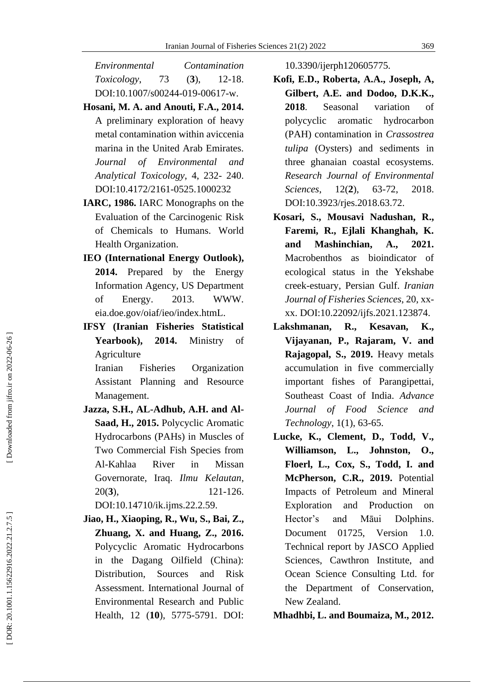*Environmental Contamination Toxicology*, 73 (  $(3)$ , 12-18. DOI:10.1007/s00244 -019 -00617 -w.

- **Hosani, M. A. and Anouti, F.A., 2014.** A preliminary exploration of heavy metal contamination within aviccenia marina in the United Arab Emirates. *Journal of Environmental and Analytical Toxicology*, 4, 232 - 240. DOI:10.4172/2161 -0525.1000232
- **IARC, 1986.** IARC Monographs on the Evaluation of the Carcinogenic Risk of Chemicals to Humans. World Health Organization.
- **IEO (International Energy Outlook), 2014.** Prepared by the Energy Information Agency, US Department of Energy. 2013. WWW. eia.doe.gov/oiaf/ieo/index.htmL.
- **IFSY (Iranian Fisheries Statistical Yearbook ), 2014.** Ministry of Agriculture

Iranian Fisheries Organization Assistant Planning and Resource Management.

- **Jazza, S.H., AL -Adhub, A.H. and Al - Saad, H., 2015.** Polycyclic Aromatic Hydrocarbons (PAHs) in Muscles of Two Commercial Fish Species from Al -Kahlaa River in Missan Governorate, Iraq. *Ilmu Kelautan*,  $20(3)$ , **3**), 121 121-126. [DOI:10.14710/ik.ijms.22.2.59](http://doi.org/10.14710/ik.ijms.22.2.59) .
- **Jiao, H., Xiaoping, R., Wu, S., Bai, Z., Zhuang, X. and Huang, Z., 2016.**  Polycyclic Aromatic Hydrocarbons in the Dagang Oilfield (China): Distribution, Sources and Risk Assessment. International Journal of Environmental Research and Public Health, 12 (**10**), 5775 -5791. DOI:

10.3390/ijerph120605775.

- **Kofi, E.D., Roberta, A.A., Joseph, A, Gilbert, A.E. and Dodoo, D.K.K., 2018**. Seasonal variation of polycyclic aromatic hydrocarbon (PAH) contamination in *Crassostrea tulipa* (Oysters) and sediments in three ghanaian coastal ecosystems. *Research Journal of Environmental Sciences*. 12(2), 63-72, 2018. DOI:10.3923/rjes.2018.63.72.
- **Kosari, S., Mousavi Nadushan, R., Faremi, R., Ejlali Khanghah, K. and Mashinchian, A., 2021.** Macrobenthos as bioindicator of ecological status in the Yekshabe creek -estuary, Persian Gulf. *Iranian Journal of Fisheries Sciences*, 20 , xx xx. DOI[:10.22092/ijfs.2021.123874](https://dx.doi.org/10.22092/ijfs.2021.123874) .
- **Lakshmanan, R., Kesavan, K., Vijayanan, P., Rajaram, V. and Rajagopal, S., 2019.** Heavy metals accumulation in five commercially important fishes of Parangipettai, Southeast Coast of India. *Advance Journal of Food Science and Technology*, 1( 1), 63 -65.
- **Lucke, K., Clement, D., Todd, V., Williamson, L., Johnston, O., Floerl, L., Cox, S., Todd, I. and McPherson, C.R., 2019.** Potential Impacts of Petroleum and Mineral Exploration and Production on Hector's and Māui Dolphins. Document 01725, Version 1.0. Technical report by JASCO Applied Sciences, Cawthron Institute, and Ocean Science Consulting Ltd. for the Department of Conservation, New Zealand.

**Mhadhbi, L. and Boumaiza, M., 2012.**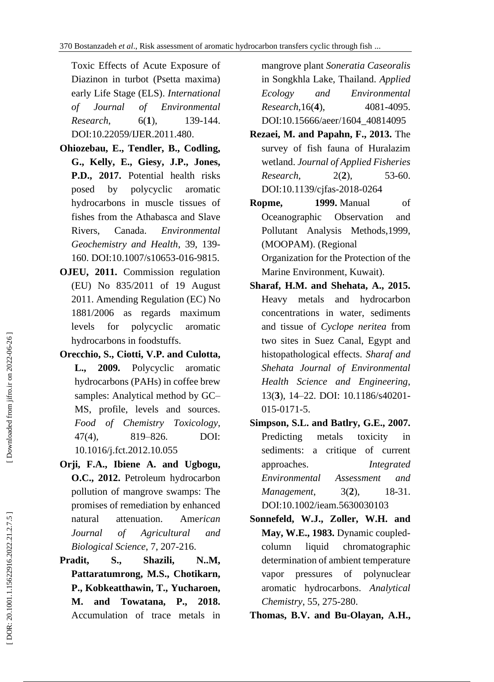Toxic Effects of Acute Exposure of Diazinon in turbot (Psetta maxima) early Life Stage (ELS). *International of Journal of Environmental*   $Research$ ( **1** ), 139 -144 . DOI[:10.22059/IJER.2011.480](https://dx.doi.org/10.22059/ijer.2011.480) .

- **Ohiozebau, E., Tendler, B., Codling, G., Kelly, E., Giesy, J.P., Jones, P.D. , 2017.** Potential health risks posed by polycyclic aromatic hydrocarbons in muscle tissues of fishes from the Athabasca and Slave Rivers, Canada. *[Environmental](https://link.springer.com/journal/10653)  [Geochemistry and Health](https://link.springer.com/journal/10653)*, 39, 139 - 160. DOI:10.1007/s10653 -016 -9815 .
- **OJEU, 2011.** Commission regulation (EU) No 835/2011 of 19 August 2011. Amending Regulation (EC) No 1881/2006 as regards maximum levels for polycyclic aromatic hydrocarbons in foodstuffs.
- **Orecchio, S., Ciotti, V.P. and Culotta, L., 2009.** Polycyclic aromatic hydrocarbons (PAHs) in coffee brew samples: Analytical method by GC – MS, profile, levels and sources. *Food of Chemistry Toxicology*,  $47(4)$ , 4), 819 –826. DOI: 10.1016/j.fct.2012.10.055
- **Orji, F.A. , Ibiene A. and Ugbogu, O.C., 2012.** Petroleum hydrocarbon pollution of mangrove swamps: The promises of remediation by enhanced natural attenuation. Ame*rican Journal of Agricultural and Biological Science*, 7, 207 -216.
- **Pradit, S., Shazili, N..M, Pattaratumrong, M.S., Chotikarn, P., Kobkeatthawin, T., Yucharoen, M. and Towatana, P., 2018.**  Accumulation of trace metals in

mangrove plant *Soneratia Caseoralis*  in Songkhla Lake, Thailand. *Applied Ecology and Environmental Research*,16( **4** ), 4081 -4095. DOI[:10.15666/aeer/1604\\_40814095](http://dx.doi.org/10.15666/aeer/1604_40814095)

- **Rezaei, M. and Papahn, F., 2013.** The survey of fish fauna of Huralazim wetland. *Journal of Applied Fisheries*   $Research$ .  $2(2)$ , 53-60. [DOI:10.1139/cjfas](http://doi.org/10.1139/cjfas-2018-0264) -2018 -0264
- **Ropme, 1999.** Manual of Oceanographic Observation and Pollutant Analysis Methods,1999, (MOOPAM). (Regional Organization for the Protection of the Marine Environment, Kuwait).
- **Sharaf, H.M. and Shehata, A., 2015.** Heavy metals and hydrocarbon concentrations in water, sediments and tissue of *Cyclope neritea* from two sites in Suez Canal, Egypt and histopathological effects. *Sharaf and Shehata Journal of Environmental Health Science and Engineering*, 13( **3**), 14 –22. DOI: 10.1186/s40201 - 015 -0171 -5.
- **Simpson, S.L. and Batlry, G.E., 2007.** Predicting metals toxicity in sediments: a critique of current approaches. *Integrated Environmental Assessment and*   $M$ anagement,  $3(2)$ , 18-31. [DOI:10.1002/ieam.5630030103](https://doi.org/10.1002/ieam.5630030103)
- **Sonnefeld, W.J., Zoller, W.H. and May, W.E., 1983.** Dynamic coupled column liquid chromatographic determination of ambient temperature vapor pressures of polynuclear aromatic hydrocarbons. *Analytical Chemistry*, 55, 275 -280.
- **Thomas, B.V. and Bu -Olayan, A.H.,**